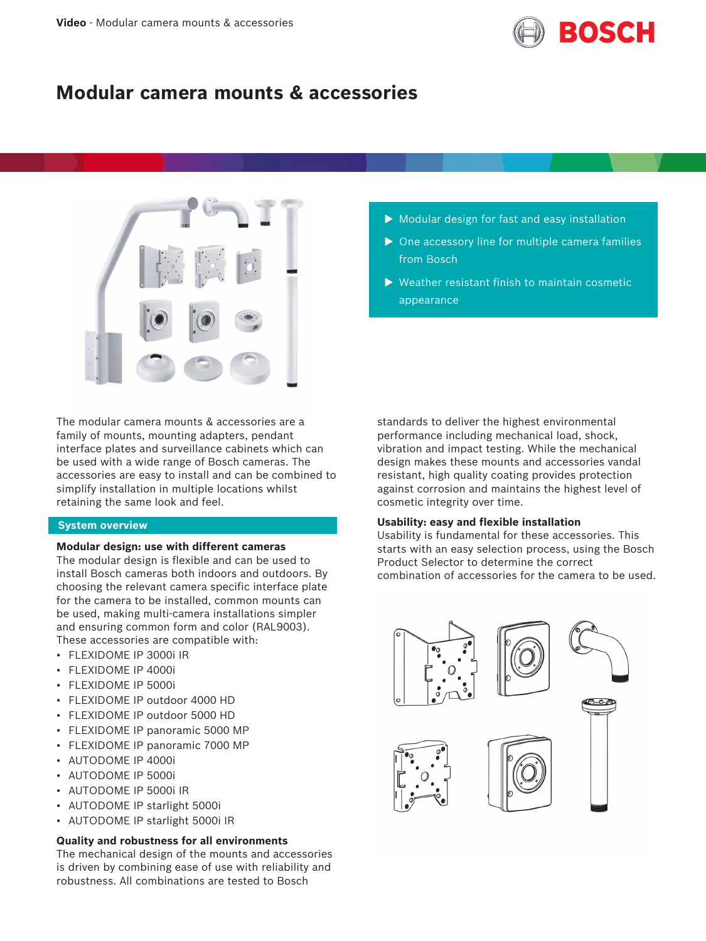

# **Modular camera mounts & accessories**



The modular camera mounts & accessories are a family of mounts, mounting adapters, pendant interface plates and surveillance cabinets which can be used with a wide range of Bosch cameras. The accessories are easy to install and can be combined to simplify installation in multiple locations whilst retaining the same look and feel.

# **System overview**

# **Modular design: use with different cameras**

The modular design is flexible and can be used to install Bosch cameras both indoors and outdoors. By choosing the relevant camera specific interface plate for the camera to be installed, common mounts can be used, making multi-camera installations simpler and ensuring common form and color (RAL9003). These accessories are compatible with:

- FLEXIDOME IP 3000i IR
- FLEXIDOME IP 4000i
- FLEXIDOME IP 5000i
- FLEXIDOME IP outdoor 4000 HD
- FLEXIDOME IP outdoor 5000 HD
- FLEXIDOME IP panoramic 5000 MP
- FLEXIDOME IP panoramic 7000 MP
- AUTODOME IP 4000i
- AUTODOME IP 5000i
- AUTODOME IP 5000i IR
- AUTODOME IP starlight 5000i
- AUTODOME IP starlight 5000i IR

# **Quality and robustness for all environments**

The mechanical design of the mounts and accessories is driven by combining ease of use with reliability and robustness. All combinations are tested to Bosch

- $\triangleright$  Modular design for fast and easy installation
- $\triangleright$  One accessory line for multiple camera families from Bosch
- $\triangleright$  Weather resistant finish to maintain cosmetic appearance

standards to deliver the highest environmental performance including mechanical load, shock, vibration and impact testing. While the mechanical design makes these mounts and accessories vandal resistant, high quality coating provides protection against corrosion and maintains the highest level of cosmetic integrity over time.

# **Usability: easy and flexible installation**

Usability is fundamental for these accessories. This starts with an easy selection process, using the Bosch Product Selector to determine the correct combination of accessories for the camera to be used.

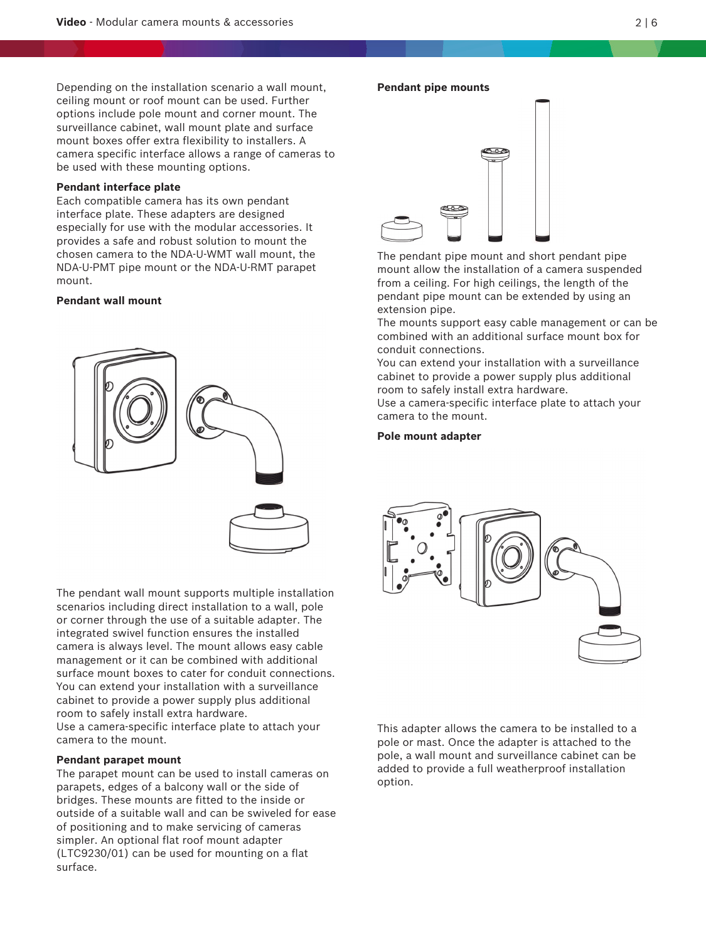Depending on the installation scenario a wall mount, ceiling mount or roof mount can be used. Further options include pole mount and corner mount. The surveillance cabinet, wall mount plate and surface mount boxes offer extra flexibility to installers. A camera specific interface allows a range of cameras to be used with these mounting options.

### **Pendant interface plate**

Each compatible camera has its own pendant interface plate. These adapters are designed especially for use with the modular accessories. It provides a safe and robust solution to mount the chosen camera to the NDA-U-WMT wall mount, the NDA-U-PMT pipe mount or the NDA-U-RMT parapet mount.

# **Pendant wall mount**



The pendant wall mount supports multiple installation scenarios including direct installation to a wall, pole or corner through the use of a suitable adapter. The integrated swivel function ensures the installed camera is always level. The mount allows easy cable management or it can be combined with additional surface mount boxes to cater for conduit connections. You can extend your installation with a surveillance cabinet to provide a power supply plus additional room to safely install extra hardware. Use a camera-specific interface plate to attach your camera to the mount.

#### **Pendant parapet mount**

The parapet mount can be used to install cameras on parapets, edges of a balcony wall or the side of bridges. These mounts are fitted to the inside or outside of a suitable wall and can be swiveled for ease of positioning and to make servicing of cameras simpler. An optional flat roof mount adapter (LTC9230/01) can be used for mounting on a flat surface.

# **Pendant pipe mounts**



The pendant pipe mount and short pendant pipe mount allow the installation of a camera suspended from a ceiling. For high ceilings, the length of the pendant pipe mount can be extended by using an extension pipe.

The mounts support easy cable management or can be combined with an additional surface mount box for conduit connections.

You can extend your installation with a surveillance cabinet to provide a power supply plus additional room to safely install extra hardware.

Use a camera-specific interface plate to attach your camera to the mount.

## **Pole mount adapter**



This adapter allows the camera to be installed to a pole or mast. Once the adapter is attached to the pole, a wall mount and surveillance cabinet can be added to provide a full weatherproof installation option.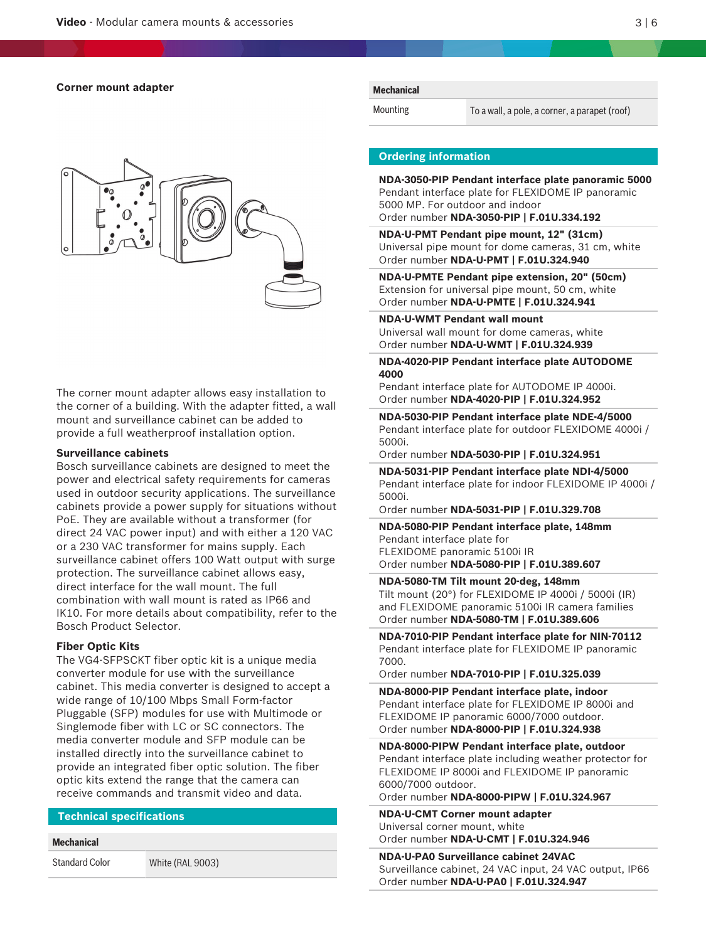

The corner mount adapter allows easy installation to the corner of a building. With the adapter fitted, a wall mount and surveillance cabinet can be added to provide a full weatherproof installation option.

### **Surveillance cabinets**

Bosch surveillance cabinets are designed to meet the power and electrical safety requirements for cameras used in outdoor security applications. The surveillance cabinets provide a power supply for situations without PoE. They are available without a transformer (for direct 24 VAC power input) and with either a 120 VAC or a 230 VAC transformer for mains supply. Each surveillance cabinet offers 100 Watt output with surge protection. The surveillance cabinet allows easy, direct interface for the wall mount. The full combination with wall mount is rated as IP66 and IK10. For more details about compatibility, refer to the Bosch Product Selector.

### **Fiber Optic Kits**

The VG4-SFPSCKT fiber optic kit is a unique media converter module for use with the surveillance cabinet. This media converter is designed to accept a wide range of 10/100 Mbps Small Form-factor Pluggable (SFP) modules for use with Multimode or Singlemode fiber with LC or SC connectors. The media converter module and SFP module can be installed directly into the surveillance cabinet to provide an integrated fiber optic solution. The fiber optic kits extend the range that the camera can receive commands and transmit video and data.

# **Technical specifications**

#### **Mechanical**

Standard Color White (RAL 9003)

#### **Mechanical**

Mounting To a wall, a pole, a corner, a parapet (roof)

#### **Ordering information**

**NDA-3050-PIP Pendant interface plate panoramic 5000** Pendant interface plate for FLEXIDOME IP panoramic 5000 MP. For outdoor and indoor Order number **NDA-3050-PIP | F.01U.334.192**

**NDA-U-PMT Pendant pipe mount, 12" (31cm)** Universal pipe mount for dome cameras, 31 cm, white Order number **NDA-U-PMT | F.01U.324.940**

**NDA-U-PMTE Pendant pipe extension, 20" (50cm)** Extension for universal pipe mount, 50 cm, white Order number **NDA-U-PMTE | F.01U.324.941**

**NDA-U-WMT Pendant wall mount**

Universal wall mount for dome cameras, white Order number **NDA-U-WMT | F.01U.324.939**

**NDA-4020-PIP Pendant interface plate AUTODOME 4000**

Pendant interface plate for AUTODOME IP 4000i. Order number **NDA-4020-PIP | F.01U.324.952**

**NDA-5030-PIP Pendant interface plate NDE-4/5000** Pendant interface plate for outdoor FLEXIDOME 4000i / 5000i.

Order number **NDA-5030-PIP | F.01U.324.951**

**NDA-5031-PIP Pendant interface plate NDI-4/5000** Pendant interface plate for indoor FLEXIDOME IP 4000i / 5000i.

Order number **NDA-5031-PIP | F.01U.329.708**

**NDA-5080-PIP Pendant interface plate, 148mm** Pendant interface plate for FLEXIDOME panoramic 5100i IR Order number **NDA-5080-PIP | F.01U.389.607**

**NDA-5080-TM Tilt mount 20-deg, 148mm** Tilt mount (20°) for FLEXIDOME IP 4000i / 5000i (IR) and FLEXIDOME panoramic 5100i IR camera families Order number **NDA-5080-TM | F.01U.389.606**

**NDA-7010-PIP Pendant interface plate for NIN-70112** Pendant interface plate for FLEXIDOME IP panoramic 7000.

Order number **NDA-7010-PIP | F.01U.325.039**

**NDA-8000-PIP Pendant interface plate, indoor** Pendant interface plate for FLEXIDOME IP 8000i and FLEXIDOME IP panoramic 6000/7000 outdoor. Order number **NDA-8000-PIP | F.01U.324.938**

**NDA-8000-PIPW Pendant interface plate, outdoor** Pendant interface plate including weather protector for FLEXIDOME IP 8000i and FLEXIDOME IP panoramic 6000/7000 outdoor.

Order number **NDA-8000-PIPW | F.01U.324.967**

**NDA-U-CMT Corner mount adapter** Universal corner mount, white Order number **NDA-U-CMT | F.01U.324.946**

**NDA-U-PA0 Surveillance cabinet 24VAC** Surveillance cabinet, 24 VAC input, 24 VAC output, IP66 Order number **NDA-U-PA0 | F.01U.324.947**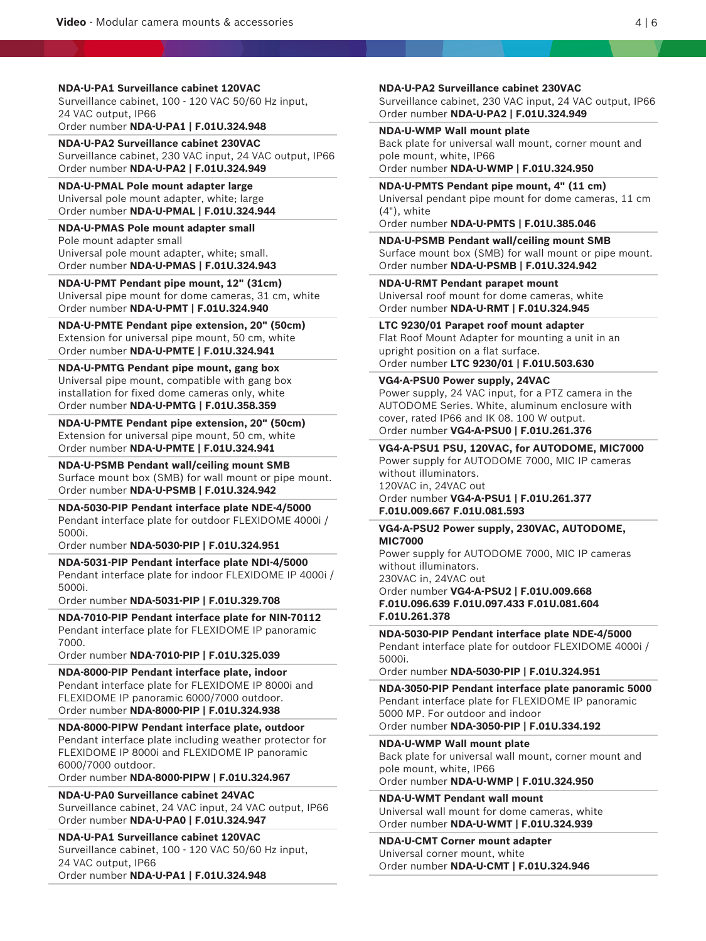**NDA-U-PA1 Surveillance cabinet 120VAC** Surveillance cabinet, 100 - 120 VAC 50/60 Hz input, 24 VAC output, IP66 Order number **NDA-U-PA1 | F.01U.324.948**

**NDA-U-PA2 Surveillance cabinet 230VAC** Surveillance cabinet, 230 VAC input, 24 VAC output, IP66 Order number **NDA-U-PA2 | F.01U.324.949**

**NDA-U-PMAL Pole mount adapter large** Universal pole mount adapter, white; large Order number **NDA-U-PMAL | F.01U.324.944**

**NDA-U-PMAS Pole mount adapter small** Pole mount adapter small Universal pole mount adapter, white; small. Order number **NDA-U-PMAS | F.01U.324.943**

**NDA-U-PMT Pendant pipe mount, 12" (31cm)** Universal pipe mount for dome cameras, 31 cm, white Order number **NDA-U-PMT | F.01U.324.940**

**NDA-U-PMTE Pendant pipe extension, 20" (50cm)** Extension for universal pipe mount, 50 cm, white Order number **NDA-U-PMTE | F.01U.324.941**

**NDA-U-PMTG Pendant pipe mount, gang box** Universal pipe mount, compatible with gang box installation for fixed dome cameras only, white Order number **NDA-U-PMTG | F.01U.358.359**

**NDA-U-PMTE Pendant pipe extension, 20" (50cm)** Extension for universal pipe mount, 50 cm, white Order number **NDA-U-PMTE | F.01U.324.941**

**NDA-U-PSMB Pendant wall/ceiling mount SMB** Surface mount box (SMB) for wall mount or pipe mount. Order number **NDA-U-PSMB | F.01U.324.942**

**NDA-5030-PIP Pendant interface plate NDE-4/5000** Pendant interface plate for outdoor FLEXIDOME 4000i / 5000i.

Order number **NDA-5030-PIP | F.01U.324.951**

**NDA-5031-PIP Pendant interface plate NDI-4/5000** Pendant interface plate for indoor FLEXIDOME IP 4000i / 5000i.

Order number **NDA-5031-PIP | F.01U.329.708**

**NDA-7010-PIP Pendant interface plate for NIN-70112** Pendant interface plate for FLEXIDOME IP panoramic 7000.

Order number **NDA-7010-PIP | F.01U.325.039**

**NDA-8000-PIP Pendant interface plate, indoor** Pendant interface plate for FLEXIDOME IP 8000i and FLEXIDOME IP panoramic 6000/7000 outdoor. Order number **NDA-8000-PIP | F.01U.324.938**

**NDA-8000-PIPW Pendant interface plate, outdoor** Pendant interface plate including weather protector for FLEXIDOME IP 8000i and FLEXIDOME IP panoramic 6000/7000 outdoor.

Order number **NDA-8000-PIPW | F.01U.324.967**

**NDA-U-PA0 Surveillance cabinet 24VAC**

Surveillance cabinet, 24 VAC input, 24 VAC output, IP66 Order number **NDA-U-PA0 | F.01U.324.947**

**NDA-U-PA1 Surveillance cabinet 120VAC**

Surveillance cabinet, 100 - 120 VAC 50/60 Hz input, 24 VAC output, IP66

Order number **NDA-U-PA1 | F.01U.324.948**

**NDA-U-PA2 Surveillance cabinet 230VAC**

Surveillance cabinet, 230 VAC input, 24 VAC output, IP66 Order number **NDA-U-PA2 | F.01U.324.949**

**NDA-U-WMP Wall mount plate** Back plate for universal wall mount, corner mount and pole mount, white, IP66

Order number **NDA-U-WMP | F.01U.324.950**

**NDA-U-PMTS Pendant pipe mount, 4" (11 cm)** Universal pendant pipe mount for dome cameras, 11 cm (4"), white

Order number **NDA-U-PMTS | F.01U.385.046**

**NDA-U-PSMB Pendant wall/ceiling mount SMB** Surface mount box (SMB) for wall mount or pipe mount. Order number **NDA-U-PSMB | F.01U.324.942**

**NDA-U-RMT Pendant parapet mount** Universal roof mount for dome cameras, white Order number **NDA-U-RMT | F.01U.324.945**

**LTC 9230/01 Parapet roof mount adapter** Flat Roof Mount Adapter for mounting a unit in an upright position on a flat surface. Order number **LTC 9230/01 | F.01U.503.630**

**VG4-A-PSU0 Power supply, 24VAC**

Power supply, 24 VAC input, for a PTZ camera in the AUTODOME Series. White, aluminum enclosure with cover, rated IP66 and IK 08. 100 W output. Order number **VG4-A-PSU0 | F.01U.261.376**

**VG4-A-PSU1 PSU, 120VAC, for AUTODOME, MIC7000** Power supply for AUTODOME 7000, MIC IP cameras without illuminators. 120VAC in, 24VAC out Order number **VG4-A-PSU1 | F.01U.261.377 F.01U.009.667 F.01U.081.593**

#### **VG4-A-PSU2 Power supply, 230VAC, AUTODOME, MIC7000**

Power supply for AUTODOME 7000, MIC IP cameras without illuminators. 230VAC in, 24VAC out Order number **VG4-A-PSU2 | F.01U.009.668**

**F.01U.096.639 F.01U.097.433 F.01U.081.604 F.01U.261.378**

**NDA-5030-PIP Pendant interface plate NDE-4/5000** Pendant interface plate for outdoor FLEXIDOME 4000i / 5000i.

Order number **NDA-5030-PIP | F.01U.324.951**

**NDA-3050-PIP Pendant interface plate panoramic 5000** Pendant interface plate for FLEXIDOME IP panoramic 5000 MP. For outdoor and indoor Order number **NDA-3050-PIP | F.01U.334.192**

**NDA-U-WMP Wall mount plate**

Back plate for universal wall mount, corner mount and pole mount, white, IP66

Order number **NDA-U-WMP | F.01U.324.950**

**NDA-U-WMT Pendant wall mount** Universal wall mount for dome cameras, white Order number **NDA-U-WMT | F.01U.324.939**

**NDA-U-CMT Corner mount adapter** Universal corner mount, white Order number **NDA-U-CMT | F.01U.324.946**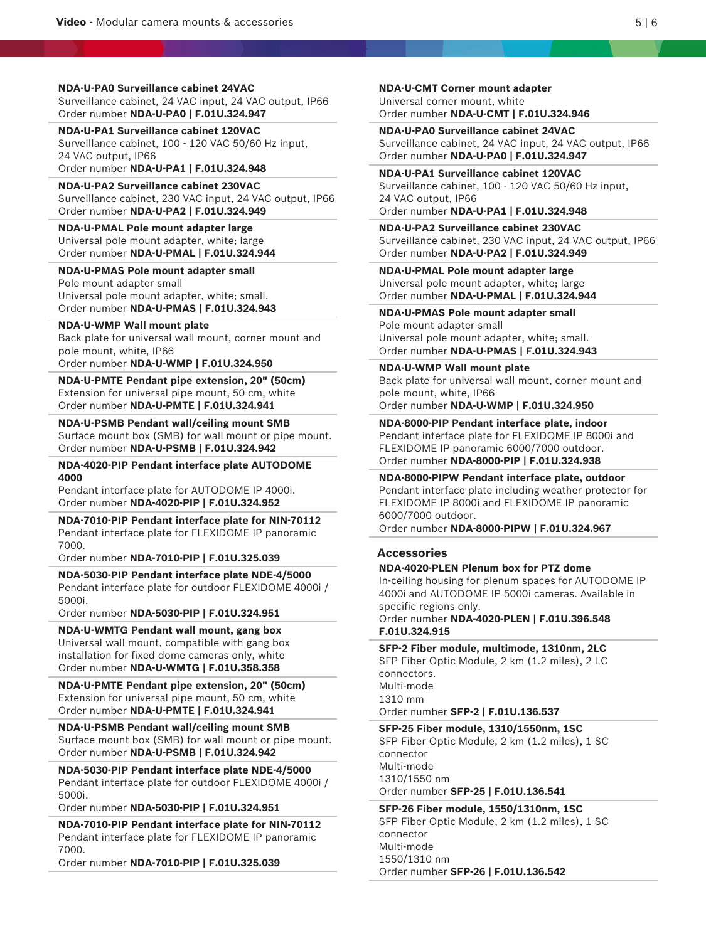**NDA-U-PA0 Surveillance cabinet 24VAC** Surveillance cabinet, 24 VAC input, 24 VAC output, IP66 Order number **NDA-U-PA0 | F.01U.324.947**

**NDA-U-PA1 Surveillance cabinet 120VAC** Surveillance cabinet, 100 - 120 VAC 50/60 Hz input, 24 VAC output, IP66

Order number **NDA-U-PA1 | F.01U.324.948**

### **NDA-U-PA2 Surveillance cabinet 230VAC** Surveillance cabinet, 230 VAC input, 24 VAC output, IP66 Order number **NDA-U-PA2 | F.01U.324.949**

**NDA-U-PMAL Pole mount adapter large** Universal pole mount adapter, white; large Order number **NDA-U-PMAL | F.01U.324.944**

**NDA-U-PMAS Pole mount adapter small** Pole mount adapter small Universal pole mount adapter, white; small. Order number **NDA-U-PMAS | F.01U.324.943**

#### **NDA-U-WMP Wall mount plate**

Back plate for universal wall mount, corner mount and pole mount, white, IP66

Order number **NDA-U-WMP | F.01U.324.950**

**NDA-U-PMTE Pendant pipe extension, 20" (50cm)** Extension for universal pipe mount, 50 cm, white Order number **NDA-U-PMTE | F.01U.324.941**

**NDA-U-PSMB Pendant wall/ceiling mount SMB** Surface mount box (SMB) for wall mount or pipe mount.

Order number **NDA-U-PSMB | F.01U.324.942**

**NDA-4020-PIP Pendant interface plate AUTODOME 4000**

Pendant interface plate for AUTODOME IP 4000i. Order number **NDA-4020-PIP | F.01U.324.952**

**NDA-7010-PIP Pendant interface plate for NIN-70112** Pendant interface plate for FLEXIDOME IP panoramic 7000.

Order number **NDA-7010-PIP | F.01U.325.039**

**NDA-5030-PIP Pendant interface plate NDE-4/5000** Pendant interface plate for outdoor FLEXIDOME 4000i / 5000i.

Order number **NDA-5030-PIP | F.01U.324.951**

**NDA-U-WMTG Pendant wall mount, gang box**

Universal wall mount, compatible with gang box installation for fixed dome cameras only, white Order number **NDA-U-WMTG | F.01U.358.358**

**NDA-U-PMTE Pendant pipe extension, 20" (50cm)** Extension for universal pipe mount, 50 cm, white Order number **NDA-U-PMTE | F.01U.324.941**

**NDA-U-PSMB Pendant wall/ceiling mount SMB** Surface mount box (SMB) for wall mount or pipe mount. Order number **NDA-U-PSMB | F.01U.324.942**

**NDA-5030-PIP Pendant interface plate NDE-4/5000** Pendant interface plate for outdoor FLEXIDOME 4000i / 5000i.

Order number **NDA-5030-PIP | F.01U.324.951**

**NDA-7010-PIP Pendant interface plate for NIN-70112** Pendant interface plate for FLEXIDOME IP panoramic 7000.

Order number **NDA-7010-PIP | F.01U.325.039**

**NDA-U-CMT Corner mount adapter** Universal corner mount, white Order number **NDA-U-CMT | F.01U.324.946**

**NDA-U-PA0 Surveillance cabinet 24VAC** Surveillance cabinet, 24 VAC input, 24 VAC output, IP66 Order number **NDA-U-PA0 | F.01U.324.947**

**NDA-U-PA1 Surveillance cabinet 120VAC** Surveillance cabinet, 100 - 120 VAC 50/60 Hz input, 24 VAC output, IP66 Order number **NDA-U-PA1 | F.01U.324.948**

**NDA-U-PA2 Surveillance cabinet 230VAC** Surveillance cabinet, 230 VAC input, 24 VAC output, IP66 Order number **NDA-U-PA2 | F.01U.324.949**

# **NDA-U-PMAL Pole mount adapter large**

Universal pole mount adapter, white; large Order number **NDA-U-PMAL | F.01U.324.944**

# **NDA-U-PMAS Pole mount adapter small**

Pole mount adapter small Universal pole mount adapter, white; small. Order number **NDA-U-PMAS | F.01U.324.943**

**NDA-U-WMP Wall mount plate**

Back plate for universal wall mount, corner mount and pole mount, white, IP66

Order number **NDA-U-WMP | F.01U.324.950**

**NDA-8000-PIP Pendant interface plate, indoor** Pendant interface plate for FLEXIDOME IP 8000i and FLEXIDOME IP panoramic 6000/7000 outdoor.

Order number **NDA-8000-PIP | F.01U.324.938**

**NDA-8000-PIPW Pendant interface plate, outdoor**

Pendant interface plate including weather protector for FLEXIDOME IP 8000i and FLEXIDOME IP panoramic 6000/7000 outdoor.

Order number **NDA-8000-PIPW | F.01U.324.967**

# **Accessories**

#### **NDA-4020-PLEN Plenum box for PTZ dome**

In-ceiling housing for plenum spaces for AUTODOME IP 4000i and AUTODOME IP 5000i cameras. Available in specific regions only.

Order number **NDA-4020-PLEN | F.01U.396.548 F.01U.324.915**

**SFP-2 Fiber module, multimode, 1310nm, 2LC** SFP Fiber Optic Module, 2 km (1.2 miles), 2 LC connectors. Multi-mode 1310 mm Order number **SFP-2 | F.01U.136.537**

**SFP-25 Fiber module, 1310/1550nm, 1SC** SFP Fiber Optic Module, 2 km (1.2 miles), 1 SC connector Multi-mode 1310/1550 nm Order number **SFP-25 | F.01U.136.541**

**SFP-26 Fiber module, 1550/1310nm, 1SC** SFP Fiber Optic Module, 2 km (1.2 miles), 1 SC connector Multi-mode 1550/1310 nm Order number **SFP-26 | F.01U.136.542**